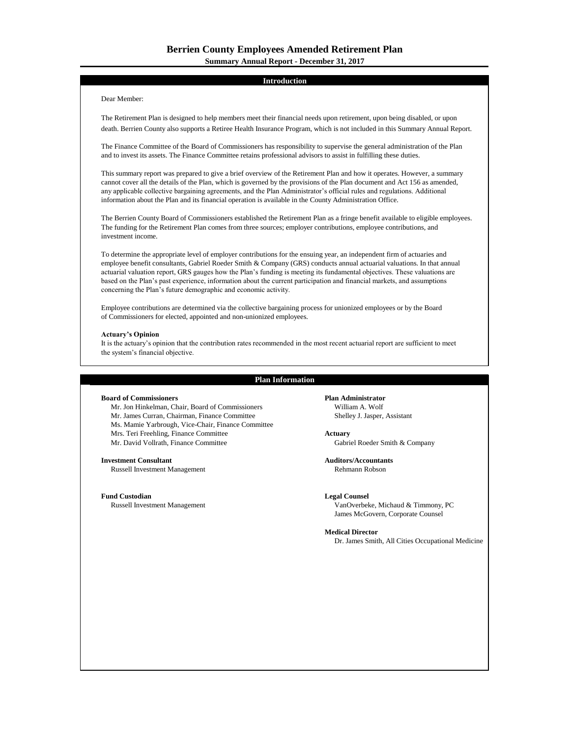# **Introduction**

# Dear Member:

The Retirement Plan is designed to help members meet their financial needs upon retirement, upon being disabled, or upon death. Berrien County also supports a Retiree Health Insurance Program, which is not included in this Summary Annual Report.

The Finance Committee of the Board of Commissioners has responsibility to supervise the general administration of the Plan and to invest its assets. The Finance Committee retains professional advisors to assist in fulfilling these duties.

This summary report was prepared to give a brief overview of the Retirement Plan and how it operates. However, a summary cannot cover all the details of the Plan, which is governed by the provisions of the Plan document and Act 156 as amended, any applicable collective bargaining agreements, and the Plan Administrator's official rules and regulations. Additional information about the Plan and its financial operation is available in the County Administration Office.

The Berrien County Board of Commissioners established the Retirement Plan as a fringe benefit available to eligible employees. The funding for the Retirement Plan comes from three sources; employer contributions, employee contributions, and investment income.

To determine the appropriate level of employer contributions for the ensuing year, an independent firm of actuaries and employee benefit consultants, Gabriel Roeder Smith & Company (GRS) conducts annual actuarial valuations. In that annual actuarial valuation report, GRS gauges how the Plan's funding is meeting its fundamental objectives. These valuations are based on the Plan's past experience, information about the current participation and financial markets, and assumptions concerning the Plan's future demographic and economic activity.

Employee contributions are determined via the collective bargaining process for unionized employees or by the Board of Commissioners for elected, appointed and non-unionized employees.

# **Actuary's Opinion**

It is the actuary's opinion that the contribution rates recommended in the most recent actuarial report are sufficient to meet the system's financial objective.

### **Plan Information**

# **Board of Commissioners Plan Administrator**

Mr. Jon Hinkelman, Chair, Board of Commissioners William A. Wolf Mr. James Curran, Chairman, Finance Committee Shelley J. Jasper, Assistant Ms. Mamie Yarbrough, Vice-Chair, Finance Committee Mrs. Teri Freehling, Finance Committee **Actuary** Mr. David Vollrath, Finance Committee Gabriel Roeder Smith & Company

Russell Investment Management

# **Fund Custodian Legal Counsel**

**Investment Consultant Auditors/Accountants**

Russell Investment Management VanOverbeke, Michaud & Timmony, PC James McGovern, Corporate Counsel

### **Medical Director**

Dr. James Smith, All Cities Occupational Medicine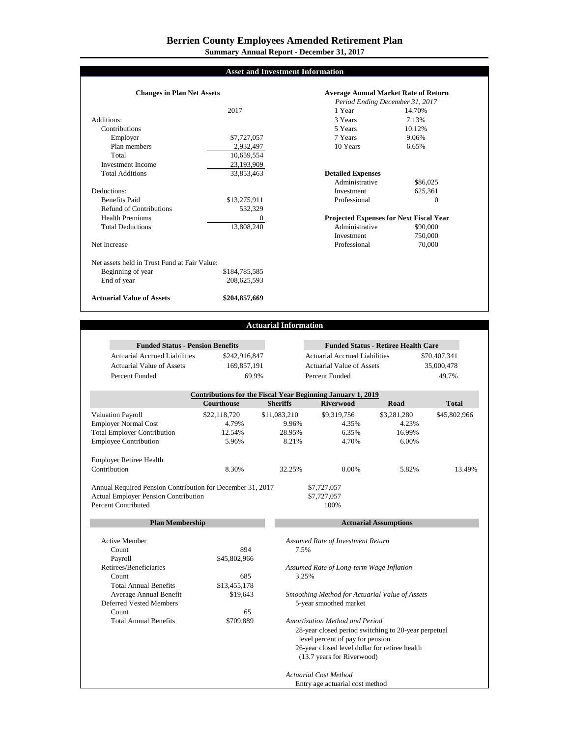**Summary Annual Report - December 31, 2017**

# **Asset and Investment Information**

| <b>Changes in Plan Net Assets</b>            |               | <b>Average Annual Market Rate of Return</b>    |              |  |
|----------------------------------------------|---------------|------------------------------------------------|--------------|--|
|                                              |               | Period Ending December 31, 2017                |              |  |
|                                              | 2017          | 1 Year                                         | 14.70%       |  |
| Additions:                                   |               | 3 Years                                        | 7.13%        |  |
| Contributions                                |               | 5 Years                                        | 10.12%       |  |
| Employer                                     | \$7,727,057   | 7 Years                                        | 9.06%        |  |
| Plan members                                 | 2,932,497     | 10 Years                                       | 6.65%        |  |
| Total                                        | 10,659,554    |                                                |              |  |
| Investment Income                            | 23,193,909    |                                                |              |  |
| <b>Total Additions</b>                       | 33,853,463    | <b>Detailed Expenses</b>                       |              |  |
|                                              |               | Administrative                                 | \$86,025     |  |
| Deductions:                                  |               | Investment                                     | 625.361      |  |
| <b>Benefits Paid</b>                         | \$13,275,911  | Professional                                   | $\mathbf{0}$ |  |
| Refund of Contributions                      | 532.329       |                                                |              |  |
| <b>Health Premiums</b>                       | 0             | <b>Projected Expenses for Next Fiscal Year</b> |              |  |
| <b>Total Deductions</b>                      | 13,808,240    | Administrative                                 | \$90,000     |  |
|                                              |               | Investment                                     | 750,000      |  |
| Net Increase                                 |               | Professional                                   | 70,000       |  |
| Net assets held in Trust Fund at Fair Value: |               |                                                |              |  |
| Beginning of year                            | \$184,785,585 |                                                |              |  |
| End of year                                  | 208,625,593   |                                                |              |  |
| <b>Actuarial Value of Assets</b>             | \$204,857,669 |                                                |              |  |

# **Actuarial Information**

| <b>Funded Status - Pension Benefits</b>                     |                   |                              | <b>Funded Status - Retiree Health Care</b>                                             |             |              |  |  |  |
|-------------------------------------------------------------|-------------------|------------------------------|----------------------------------------------------------------------------------------|-------------|--------------|--|--|--|
| <b>Actuarial Accrued Liabilities</b>                        | \$242,916,847     |                              | <b>Actuarial Accrued Liabilities</b>                                                   |             | \$70,407,341 |  |  |  |
| <b>Actuarial Value of Assets</b>                            | 169,857,191       |                              | <b>Actuarial Value of Assets</b>                                                       |             | 35,000,478   |  |  |  |
| Percent Funded                                              | 69.9%             |                              | Percent Funded                                                                         |             | 49.7%        |  |  |  |
| Contributions for the Fiscal Year Beginning January 1, 2019 |                   |                              |                                                                                        |             |              |  |  |  |
|                                                             | <b>Courthouse</b> | <b>Sheriffs</b>              | <b>Riverwood</b>                                                                       | Road        | <b>Total</b> |  |  |  |
| <b>Valuation Payroll</b>                                    | \$22,118,720      | \$11,083,210                 | \$9,319,756                                                                            | \$3,281,280 | \$45,802,966 |  |  |  |
| <b>Employer Normal Cost</b>                                 | 4.79%             | 9.96%                        | 4.35%                                                                                  | 4.23%       |              |  |  |  |
| <b>Total Employer Contribution</b>                          | 12.54%            | 28.95%                       | 6.35%                                                                                  | 16.99%      |              |  |  |  |
| <b>Employee Contribution</b>                                | 5.96%             | 8.21%                        | 4.70%                                                                                  | 6.00%       |              |  |  |  |
| <b>Employer Retiree Health</b>                              |                   |                              |                                                                                        |             |              |  |  |  |
| Contribution                                                | 8.30%             | 32.25%                       | 0.00%                                                                                  | 5.82%       | 13.49%       |  |  |  |
| Annual Required Pension Contribution for December 31, 2017  |                   |                              | \$7,727,057                                                                            |             |              |  |  |  |
| <b>Actual Employer Pension Contribution</b>                 |                   | \$7,727,057                  |                                                                                        |             |              |  |  |  |
| <b>Percent Contributed</b>                                  |                   |                              | 100%                                                                                   |             |              |  |  |  |
| <b>Plan Membership</b>                                      |                   | <b>Actuarial Assumptions</b> |                                                                                        |             |              |  |  |  |
| <b>Active Member</b>                                        |                   |                              | Assumed Rate of Investment Return                                                      |             |              |  |  |  |
| Count                                                       | 894               |                              | 7.5%                                                                                   |             |              |  |  |  |
| Payroll                                                     | \$45,802,966      |                              |                                                                                        |             |              |  |  |  |
| Retirees/Beneficiaries                                      |                   |                              | Assumed Rate of Long-term Wage Inflation                                               |             |              |  |  |  |
| Count                                                       | 685               |                              | 3.25%                                                                                  |             |              |  |  |  |
| <b>Total Annual Benefits</b>                                | \$13,455,178      |                              |                                                                                        |             |              |  |  |  |
| Average Annual Benefit                                      | \$19,643          |                              | Smoothing Method for Actuarial Value of Assets                                         |             |              |  |  |  |
| Deferred Vested Members                                     |                   |                              | 5-year smoothed market                                                                 |             |              |  |  |  |
| Count                                                       | 65                |                              |                                                                                        |             |              |  |  |  |
| <b>Total Annual Benefits</b>                                | \$709,889         |                              | Amortization Method and Period<br>28-year closed period switching to 20-year perpetual |             |              |  |  |  |
|                                                             |                   |                              |                                                                                        |             |              |  |  |  |
|                                                             |                   |                              | level percent of pay for pension                                                       |             |              |  |  |  |
|                                                             |                   |                              | 26-year closed level dollar for retiree health                                         |             |              |  |  |  |
|                                                             |                   |                              | (13.7 years for Riverwood)                                                             |             |              |  |  |  |
|                                                             |                   |                              | <b>Actuarial Cost Method</b>                                                           |             |              |  |  |  |
|                                                             |                   |                              | Entry age actuarial cost method                                                        |             |              |  |  |  |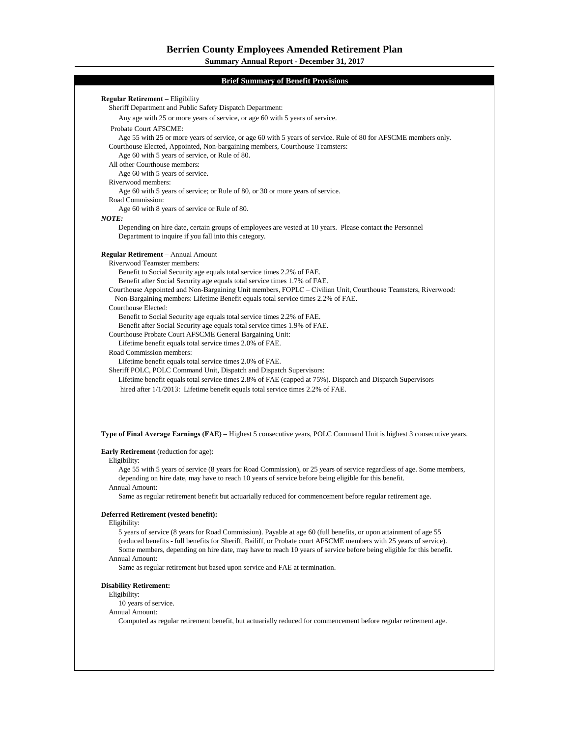**Regular Retirement –** Eligibility Sheriff Department and Public Safety Dispatch Department: Any age with 25 or more years of service, or age 60 with 5 years of service. Probate Court AFSCME: Age 55 with 25 or more years of service, or age 60 with 5 years of service. Rule of 80 for AFSCME members only. Courthouse Elected, Appointed, Non-bargaining members, Courthouse Teamsters: Age 60 with 5 years of service, or Rule of 80. All other Courthouse members: Age 60 with 5 years of service. Riverwood members: Age 60 with 5 years of service; or Rule of 80, or 30 or more years of service. Road Commission: Age 60 with 8 years of service or Rule of 80. *NOTE:* Depending on hire date, certain groups of employees are vested at 10 years. Please contact the Personnel Department to inquire if you fall into this category. **Regular Retirement** – Annual Amount Riverwood Teamster members: Benefit to Social Security age equals total service times 2.2% of FAE. Benefit after Social Security age equals total service times 1.7% of FAE. Courthouse Appointed and Non-Bargaining Unit members, FOPLC – Civilian Unit, Courthouse Teamsters, Riverwood: Non-Bargaining members: Lifetime Benefit equals total service times 2.2% of FAE. Lifetime Benefit equals total service times 2.2% of FAE. Courthouse Elected: Benefit to Social Security age equals total service times 2.2% of FAE. Benefit after Social Security age equals total service times 1.9% of FAE. Courthouse Probate Court AFSCME General Bargaining Unit: Lifetime benefit equals total service times 2.0% of FAE. Road Commission members: Lifetime benefit equals total service times 2.0% of FAE. Sheriff POLC, POLC Command Unit, Dispatch and Dispatch Supervisors: Lifetime benefit equals total service times 2.8% of FAE (capped at 75%). Dispatch and Dispatch Supervisors hired after 1/1/2013: Lifetime benefit equals total service times 2.2% of FAE. **Type of Final Average Earnings (FAE) –** Highest 5 consecutive years, POLC Command Unit is highest 3 consecutive years. **Early Retirement** (reduction for age): Eligibility: Age 55 with 5 years of service (8 years for Road Commission), or 25 years of service regardless of age. Some members, depending on hire date, may have to reach 10 years of service before being eligible for this benefit. Annual Amount: Same as regular retirement benefit but actuarially reduced for commencement before regular retirement age. **Deferred Retirement (vested benefit):** Eligibility: 5 years of service (8 years for Road Commission). Payable at age 60 (full benefits, or upon attainment of age 55 (reduced benefits - full benefits for Sheriff, Bailiff, or Probate court AFSCME members with 25 years of service). Some members, depending on hire date, may have to reach 10 years of service before being eligible for this benefit. Annual Amount: Same as regular retirement but based upon service and FAE at termination. **Disability Retirement:** Eligibility: **Brief Summary of Benefit Provisions**

10 years of service.

### Annual Amount:

Computed as regular retirement benefit, but actuarially reduced for commencement before regular retirement age.